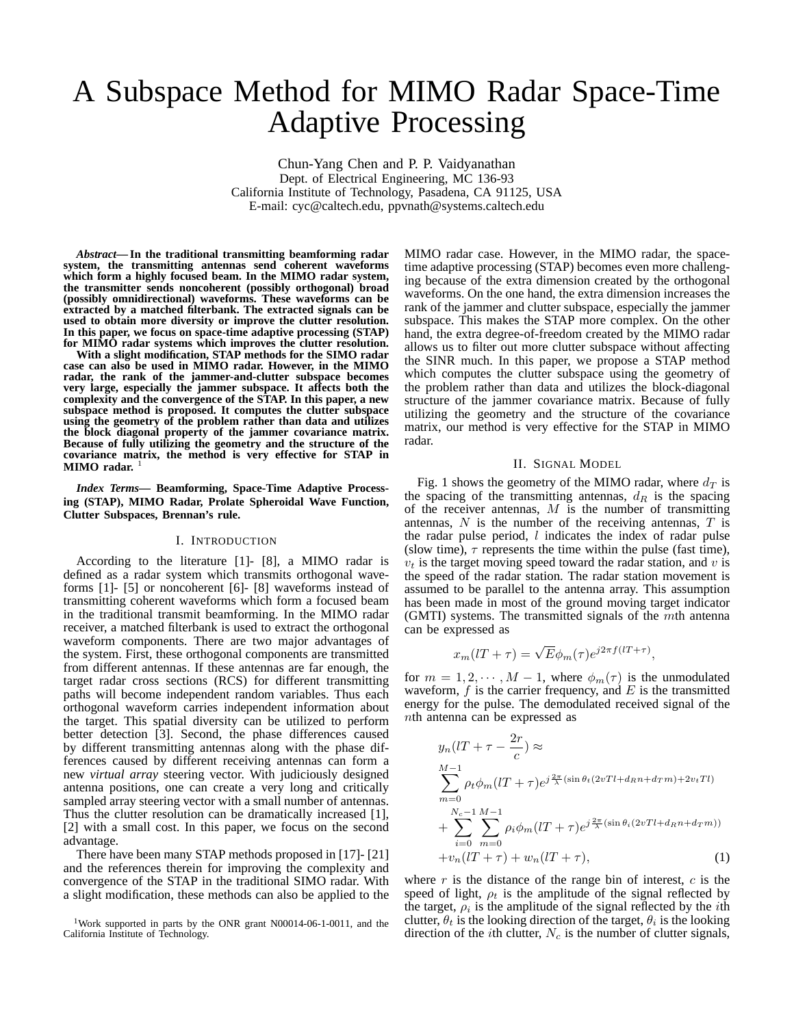# A Subspace Method for MIMO Radar Space-Time Adaptive Processing

Chun-Yang Chen and P. P. Vaidyanathan Dept. of Electrical Engineering, MC 136-93 California Institute of Technology, Pasadena, CA 91125, USA E-mail: cyc@caltech.edu, ppvnath@systems.caltech.edu

*Abstract***— In the traditional transmitting beamforming radar system, the transmitting antennas send coherent waveforms which form a highly focused beam. In the MIMO radar system, the transmitter sends noncoherent (possibly orthogonal) broad (possibly omnidirectional) waveforms. These waveforms can be extracted by a matched filterbank. The extracted signals can be used to obtain more diversity or improve the clutter resolution. In this paper, we focus on space-time adaptive processing (STAP) for MIMO radar systems which improves the clutter resolution.**

**With a slight modification, STAP methods for the SIMO radar case can also be used in MIMO radar. However, in the MIMO radar, the rank of the jammer-and-clutter subspace becomes very large, especially the jammer subspace. It affects both the complexity and the convergence of the STAP. In this paper, a new subspace method is proposed. It computes the clutter subspace using the geometry of the problem rather than data and utilizes the block diagonal property of the jammer covariance matrix. Because of fully utilizing the geometry and the structure of the covariance matrix, the method is very effective for STAP in** MIMO radar.<sup>1</sup>

*Index Terms***— Beamforming, Space-Time Adaptive Processing (STAP), MIMO Radar, Prolate Spheroidal Wave Function, Clutter Subspaces, Brennan's rule.**

### I. INTRODUCTION

According to the literature [1]- [8], a MIMO radar is defined as a radar system which transmits orthogonal waveforms [1]- [5] or noncoherent [6]- [8] waveforms instead of transmitting coherent waveforms which form a focused beam in the traditional transmit beamforming. In the MIMO radar receiver, a matched filterbank is used to extract the orthogonal waveform components. There are two major advantages of the system. First, these orthogonal components are transmitted from different antennas. If these antennas are far enough, the target radar cross sections (RCS) for different transmitting paths will become independent random variables. Thus each orthogonal waveform carries independent information about the target. This spatial diversity can be utilized to perform better detection [3]. Second, the phase differences caused by different transmitting antennas along with the phase differences caused by different receiving antennas can form a new *virtual array* steering vector. With judiciously designed antenna positions, one can create a very long and critically sampled array steering vector with a small number of antennas. Thus the clutter resolution can be dramatically increased [1], [2] with a small cost. In this paper, we focus on the second advantage.

There have been many STAP methods proposed in [17]- [21] and the references therein for improving the complexity and convergence of the STAP in the traditional SIMO radar. With a slight modification, these methods can also be applied to the MIMO radar case. However, in the MIMO radar, the spacetime adaptive processing (STAP) becomes even more challenging because of the extra dimension created by the orthogonal waveforms. On the one hand, the extra dimension increases the rank of the jammer and clutter subspace, especially the jammer subspace. This makes the STAP more complex. On the other hand, the extra degree-of-freedom created by the MIMO radar allows us to filter out more clutter subspace without affecting the SINR much. In this paper, we propose a STAP method which computes the clutter subspace using the geometry of the problem rather than data and utilizes the block-diagonal structure of the jammer covariance matrix. Because of fully utilizing the geometry and the structure of the covariance matrix, our method is very effective for the STAP in MIMO radar.

#### II. SIGNAL MODEL

Fig. 1 shows the geometry of the MIMO radar, where  $d_T$  is the spacing of the transmitting antennas,  $d_R$  is the spacing of the receiver antennas,  $M$  is the number of transmitting antennas,  $N$  is the number of the receiving antennas,  $T$  is the radar pulse period,  $l$  indicates the index of radar pulse (slow time),  $\tau$  represents the time within the pulse (fast time),  $v_t$  is the target moving speed toward the radar station, and v is the speed of the radar station. The radar station movement is assumed to be parallel to the antenna array. This assumption has been made in most of the ground moving target indicator (GMTI) systems. The transmitted signals of the mth antenna can be expressed as

$$
x_m(lT + \tau) = \sqrt{E}\phi_m(\tau)e^{j2\pi f(lT + \tau)},
$$

for  $m = 1, 2, \dots, M - 1$ , where  $\phi_m(\tau)$  is the unmodulated waveform,  $f$  is the carrier frequency, and  $E$  is the transmitted energy for the pulse. The demodulated received signal of the nth antenna can be expressed as

$$
y_n(lT + \tau - \frac{2r}{c}) \approx
$$
  
\n
$$
\sum_{m=0}^{M-1} \rho_t \phi_m(lT + \tau) e^{j\frac{2\pi}{\lambda} (\sin \theta_t (2vTl + d_R n + d_T m) + 2v_t T l)}
$$
  
\n
$$
+ \sum_{i=0}^{N_c-1} \sum_{m=0}^{M-1} \rho_i \phi_m(lT + \tau) e^{j\frac{2\pi}{\lambda} (\sin \theta_i (2vTl + d_R n + d_T m))}
$$
  
\n
$$
+ v_n(lT + \tau) + w_n(lT + \tau),
$$
\n(1)

where  $r$  is the distance of the range bin of interest,  $c$  is the speed of light,  $\rho_t$  is the amplitude of the signal reflected by the target,  $\rho_i$  is the amplitude of the signal reflected by the *i*th clutter,  $\theta_t$  is the looking direction of the target,  $\theta_i$  is the looking direction of the *i*th clutter,  $N_c$  is the number of clutter signals,

<sup>&</sup>lt;sup>1</sup>Work supported in parts by the ONR grant N00014-06-1-0011, and the California Institute of Technology.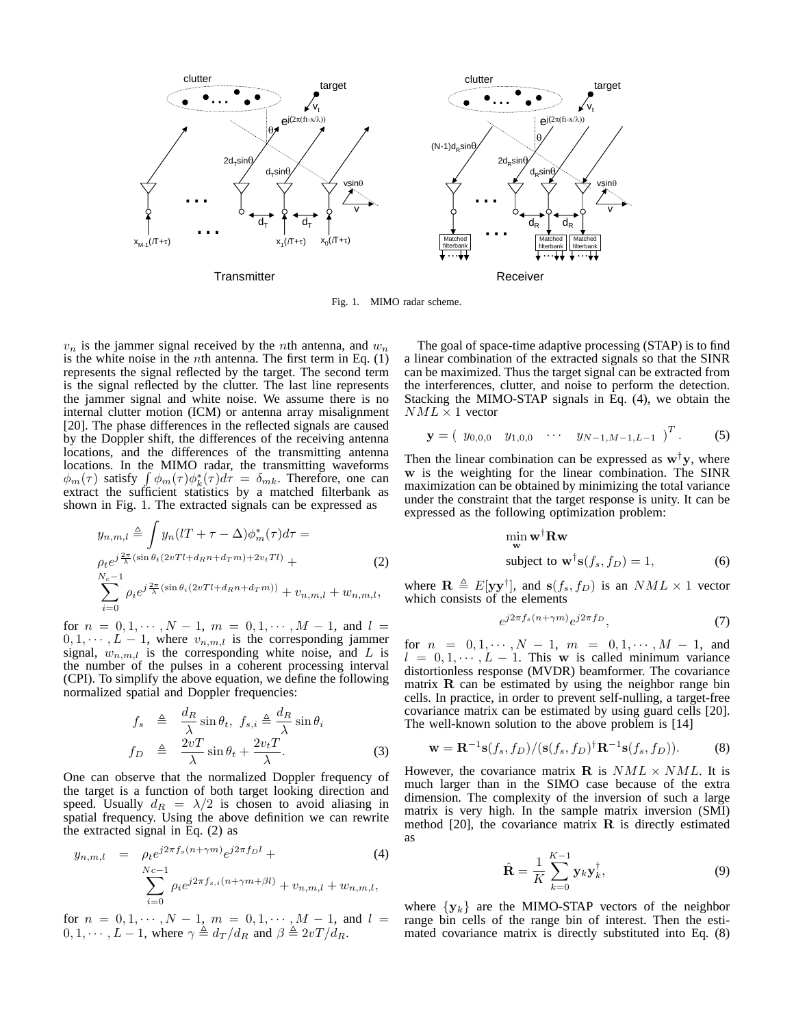

Fig. 1. MIMO radar scheme.

 $v_n$  is the jammer signal received by the *n*th antenna, and  $w_n$ is the white noise in the *n*th antenna. The first term in Eq.  $(1)$ represents the signal reflected by the target. The second term is the signal reflected by the clutter. The last line represents the jammer signal and white noise. We assume there is no internal clutter motion (ICM) or antenna array misalignment [20]. The phase differences in the reflected signals are caused by the Doppler shift, the differences of the receiving antenna locations, and the differences of the transmitting antenna locations. In the MIMO radar, the transmitting waveforms  $\phi_m(\tau)$  satisfy  $\int \phi_m(\tau) \phi_k^*(\tau) d\tau = \delta_{mk}$ . Therefore, one can extract the sufficient statistics by a matched filterbank as shown in Fig. 1. The extracted signals can be expressed as

$$
y_{n,m,l} \triangleq \int y_n (lT + \tau - \Delta) \phi_m^*(\tau) d\tau =
$$
  
\n
$$
\rho_t e^{j\frac{2\pi}{\lambda} (\sin \theta_t (2vTl + d_R n + d_T m) + 2v_t Tl)} +
$$
  
\n
$$
\sum_{i=0}^{N_c - 1} \rho_i e^{j\frac{2\pi}{\lambda} (\sin \theta_i (2vTl + d_R n + d_T m))} + v_{n,m,l} + w_{n,m,l},
$$
\n(2)

for  $n = 0, 1, \dots, N - 1, m = 0, 1, \dots, M - 1$ , and  $l =$  $0, 1, \dots, L - 1$ , where  $v_{n,m,l}$  is the corresponding jammer signal,  $w_{n,m,l}$  is the corresponding white noise, and L is the number of the pulses in a coherent processing interval (CPI). To simplify the above equation, we define the following normalized spatial and Doppler frequencies:

$$
f_s \triangleq \frac{d_R}{\lambda} \sin \theta_t, \ f_{s,i} \triangleq \frac{d_R}{\lambda} \sin \theta_i
$$

$$
f_D \triangleq \frac{2vT}{\lambda} \sin \theta_t + \frac{2v_tT}{\lambda}.
$$
 (3)

One can observe that the normalized Doppler frequency of the target is a function of both target looking direction and speed. Usually  $d_R = \lambda/2$  is chosen to avoid aliasing in spatial frequency. Using the above definition we can rewrite the extracted signal in Eq. (2) as

$$
y_{n,m,l} = \rho_t e^{j2\pi f_s (n+\gamma m)} e^{j2\pi f_D l} +
$$
  

$$
\sum_{i=0}^{Nc-1} \rho_i e^{j2\pi f_{s,i}(n+\gamma m+\beta l)} + v_{n,m,l} + w_{n,m,l},
$$

for  $n = 0, 1, \cdots, N - 1, m = 0, 1, \cdots, M - 1,$  and  $l =$  $0, 1, \cdots, L-1$ , where  $\gamma \triangleq d_T/d_R$  and  $\beta \triangleq 2vT/d_R$ .

The goal of space-time adaptive processing (STAP) is to find a linear combination of the extracted signals so that the SINR can be maximized. Thus the target signal can be extracted from the interferences, clutter, and noise to perform the detection. Stacking the MIMO-STAP signals in Eq. (4), we obtain the  $NML \times 1$  vector

$$
\mathbf{y} = \begin{pmatrix} y_{0,0,0} & y_{1,0,0} & \cdots & y_{N-1,M-1,L-1} \end{pmatrix}^T.
$$
 (5)

Then the linear combination can be expressed as  $w^{\dagger}y$ , where **w** is the weighting for the linear combination. The SINR maximization can be obtained by minimizing the total variance under the constraint that the target response is unity. It can be expressed as the following optimization problem:

$$
\min_{\mathbf{w}} \mathbf{w}^{\dagger} \mathbf{R} \mathbf{w}
$$
  
subject to  $\mathbf{w}^{\dagger} \mathbf{s}(f_s, f_D) = 1,$  (6)

where  $\mathbf{R} \triangleq E[\mathbf{y}\mathbf{y}^\dagger]$ , and  $\mathbf{s}(f_s, f_D)$  is an  $NML \times 1$  vector which consists of the elements

$$
e^{j2\pi f_s(n+\gamma m)}e^{j2\pi f_D},\tag{7}
$$

for  $n = 0, 1, \cdots, N - 1, m = 0, 1, \cdots, M - 1$ , and  $l = 0, 1, \dots, L - 1$ . This **w** is called minimum variance distortionless response (MVDR) beamformer. The covariance matrix  $\bf{R}$  can be estimated by using the neighbor range bin cells. In practice, in order to prevent self-nulling, a target-free covariance matrix can be estimated by using guard cells [20]. The well-known solution to the above problem is [14]

$$
\mathbf{w} = \mathbf{R}^{-1}\mathbf{s}(f_s, f_D) / (\mathbf{s}(f_s, f_D)^{\dagger} \mathbf{R}^{-1} \mathbf{s}(f_s, f_D)).
$$
 (8)

However, the covariance matrix **R** is  $NML \times NML$ . It is much larger than in the SIMO case because of the extra dimension. The complexity of the inversion of such a large matrix is very high. In the sample matrix inversion (SMI) method [20], the covariance matrix **R** is directly estimated as

$$
\hat{\mathbf{R}} = \frac{1}{K} \sum_{k=0}^{K-1} \mathbf{y}_k \mathbf{y}_k^{\dagger},
$$
\n(9)

where  $\{y_k\}$  are the MIMO-STAP vectors of the neighbor range bin cells of the range bin of interest. Then the estimated covariance matrix is directly substituted into Eq. (8)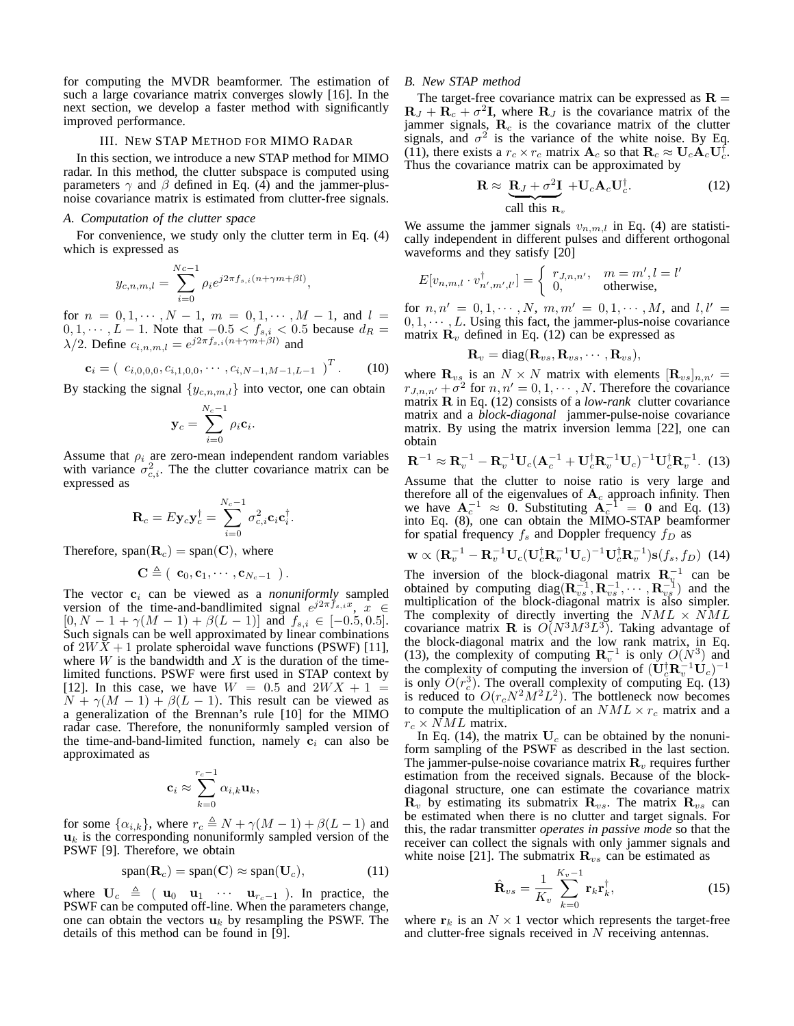for computing the MVDR beamformer. The estimation of such a large covariance matrix converges slowly [16]. In the next section, we develop a faster method with significantly improved performance.

## III. NEW STAP METHOD FOR MIMO RADAR

In this section, we introduce a new STAP method for MIMO radar. In this method, the clutter subspace is computed using parameters  $\gamma$  and  $\beta$  defined in Eq. (4) and the jammer-plusnoise covariance matrix is estimated from clutter-free signals.

## *A. Computation of the clutter space*

For convenience, we study only the clutter term in Eq. (4) which is expressed as

$$
y_{c,n,m,l} = \sum_{i=0}^{Nc-1} \rho_i e^{j2\pi f_{s,i}(n+\gamma m+\beta l)},
$$

for  $n = 0, 1, \dots, N - 1, m = 0, 1, \dots, M - 1$ , and  $l =$  $0, 1, \dots, L-1$ . Note that  $-0.5 < f_{s,i} < 0.5$  because  $d_R =$  $\lambda/2$ . Define  $c_{i,n,m,l} = e^{j2\pi f_{s,i}(n+\gamma m+\beta l)}$  and

$$
\mathbf{c}_{i} = \begin{pmatrix} c_{i,0,0,0}, c_{i,1,0,0}, \cdots, c_{i,N-1,M-1,L-1} \end{pmatrix}^{T}.
$$
 (10)

By stacking the signal  $\{y_{c,n,m,l}\}\$ into vector, one can obtain

$$
\mathbf{y}_c = \sum_{i=0}^{N_c-1} \rho_i \mathbf{c}_i.
$$

Assume that  $\rho_i$  are zero-mean independent random variables with variance  $\sigma_{c,i}^2$ . The the clutter covariance matrix can be expressed as

$$
\mathbf{R}_c = E \mathbf{y}_c \mathbf{y}_c^{\dagger} = \sum_{i=0}^{N_c-1} \sigma_{c,i}^2 \mathbf{c}_i \mathbf{c}_i^{\dagger}.
$$

Therefore,  $span(\mathbf{R}_c) = span(\mathbf{C})$ , where

$$
\mathbf{C} \triangleq ( \ \mathbf{c}_0, \mathbf{c}_1, \cdots, \mathbf{c}_{N_c-1} \ \text{)}.
$$

The vector  $c_i$  can be viewed as a *nonuniformly* sampled version of the time-and-bandlimited signal  $e^{j2\pi \hat{f}_{s,i}x}$ ,  $\hat{x} \in$  $[0, N - 1 + \gamma(M - 1) + \beta(L - 1)]$  and  $f_{s,i} \in [-0.5, 0.5]$ . Such signals can be well approximated by linear combinations of  $2WX + 1$  prolate spheroidal wave functions (PSWF) [11], where  $W$  is the bandwidth and  $X$  is the duration of the timelimited functions. PSWF were first used in STAP context by [12]. In this case, we have  $W = 0.5$  and  $2WX + 1 =$  $N + \gamma(M - 1) + \beta(L - 1)$ . This result can be viewed as a generalization of the Brennan's rule [10] for the MIMO radar case. Therefore, the nonuniformly sampled version of the time-and-band-limited function, namely  $c_i$  can also be approximated as

$$
\mathbf{c}_i \approx \sum_{k=0}^{r_c-1} \alpha_{i,k} \mathbf{u}_k,
$$

for some  $\{\alpha_{i,k}\}\)$ , where  $r_c \triangleq N + \gamma(M-1) + \beta(L-1)$  and  $\mathbf{u}_k$  is the corresponding nonuniformly sampled version of the PSWF [9]. Therefore, we obtain

$$
span(\mathbf{R}_c) = span(\mathbf{C}) \approx span(\mathbf{U}_c), \qquad (11)
$$

where  $U_c \triangleq (u_0 \ u_1 \ \cdots \ u_{r_c-1})$ . In practice, the PSWF can be computed off-line. When the parameters change, one can obtain the vectors  $\mathbf{u}_k$  by resampling the PSWF. The details of this method can be found in [9].

## *B. New STAP method*

The target-free covariance matrix can be expressed as  $\mathbf{R} =$  $\mathbf{R}_J + \mathbf{R}_c + \sigma^2 \mathbf{I}$ , where  $\mathbf{R}_J$  is the covariance matrix of the jammer signals,  $\mathbf{R}_c$  is the covariance matrix of the clutter signals, and  $\sigma^2$  is the variance of the white noise. By Eq. (11), there exists a  $r_c \times r_c$  matrix  $\mathbf{A}_c$  so that  $\mathbf{R}_c \approx \mathbf{U}_c \mathbf{A}_c \mathbf{U}_c^{\dagger}$ . Thus the covariance matrix can be approximated by

$$
\mathbf{R} \approx \underbrace{\mathbf{R}_J + \sigma^2 \mathbf{I}}_{\text{call this } \mathbf{R}_v} + \mathbf{U}_c \mathbf{A}_c \mathbf{U}_c^{\dagger}.
$$
 (12)

We assume the jammer signals  $v_{n,m,l}$  in Eq. (4) are statistically independent in different pulses and different orthogonal waveforms and they satisfy [20]

$$
E[v_{n,m,l} \cdot v_{n',m',l'}^{\dagger}] = \begin{cases} r_{J,n,n'} & m = m', l = l' \\ 0, & \text{otherwise,} \end{cases}
$$

for  $n, n' = 0, 1, \dots, N, m, m' = 0, 1, \dots, M$ , and  $l, l' =$  $0, 1, \cdots, L$ . Using this fact, the jammer-plus-noise covariance matrix  $\mathbf{R}_v$  defined in Eq. (12) can be expressed as

$$
\mathbf{R}_v = \text{diag}(\mathbf{R}_{vs}, \mathbf{R}_{vs}, \cdots, \mathbf{R}_{vs}),
$$

where  $\mathbf{R}_{vs}$  is an  $N \times N$  matrix with elements  $[\mathbf{R}_{vs}]_{n,n'} =$  $r_{J,n,n'} + \sigma^2$  for  $n,n' = 0,1,\cdots,N$ . Therefore the covariance matrix **R** in Eq. (12) consists of a *low-rank* clutter covariance matrix and a *block-diagonal* jammer-pulse-noise covariance matrix. By using the matrix inversion lemma [22], one can obtain

$$
\mathbf{R}^{-1} \approx \mathbf{R}_v^{-1} - \mathbf{R}_v^{-1} \mathbf{U}_c (\mathbf{A}_c^{-1} + \mathbf{U}_c^{\dagger} \mathbf{R}_v^{-1} \mathbf{U}_c)^{-1} \mathbf{U}_c^{\dagger} \mathbf{R}_v^{-1}.
$$
 (13)

Assume that the clutter to noise ratio is very large and therefore all of the eigenvalues of  $A_c$  approach infinity. Then we have  $A_c^{-1} \approx 0$ . Substituting  $A_c^{-1} = 0$  and Eq. (13) into Eq. (8), one can obtain the MIMO-STAP beamformer for spatial frequency  $f_s$  and Doppler frequency  $f_D$  as

$$
\mathbf{w} \propto (\mathbf{R}_v^{-1} - \mathbf{R}_v^{-1} \mathbf{U}_c (\mathbf{U}_c^{\dagger} \mathbf{R}_v^{-1} \mathbf{U}_c)^{-1} \mathbf{U}_c^{\dagger} \mathbf{R}_v^{-1}) \mathbf{s}(f_s, f_D) \tag{14}
$$

The inversion of the block-diagonal matrix  $\mathbf{R}_v^{-1}$  can be obtained by computing diag( $\mathbf{R}_{vs}^{-1}, \mathbf{R}_{vs}^{-1}, \cdots, \mathbf{R}_{vs}^{-1}$ ) and the multiplication of the block-diagonal matrix is also simpler. The complexity of directly inverting the  $NML \times NML$ covariance matrix **R** is  $O(N^3M^3L^3)$ . Taking advantage of the block-diagonal matrix and the low rank matrix, in Eq. (13), the complexity of computing  $\mathbb{R}_{v}^{-1}$  is only  $O(N^{3})$  and the complexity of computing the inversion of  $(\mathbf{U}_{c}^{\dagger} \mathbf{R}_{v}^{-1} \mathbf{U}_{c})^{-1}$ is only  $O(r_c^3)$ . The overall complexity of computing Eq. (13) is reduced to  $O(r_cN^2M^2L^2)$ . The bottleneck now becomes to compute the multiplication of an  $NML \times r_c$  matrix and a  $r_c \times NML$  matrix.

In Eq. (14), the matrix  $U_c$  can be obtained by the nonuniform sampling of the PSWF as described in the last section. The jammer-pulse-noise covariance matrix  $\mathbf{R}_v$  requires further estimation from the received signals. Because of the blockdiagonal structure, one can estimate the covariance matrix  $\mathbf{R}_v$  by estimating its submatrix  $\mathbf{R}_{vs}$ . The matrix  $\mathbf{R}_{vs}$  can be estimated when there is no clutter and target signals. For this, the radar transmitter *operates in passive mode* so that the receiver can collect the signals with only jammer signals and white noise [21]. The submatrix  $\mathbf{R}_{vs}$  can be estimated as

$$
\hat{\mathbf{R}}_{vs} = \frac{1}{K_v} \sum_{k=0}^{K_v - 1} \mathbf{r}_k \mathbf{r}_k^{\dagger},
$$
\n(15)

where  $r_k$  is an  $N \times 1$  vector which represents the target-free and clutter-free signals received in N receiving antennas.